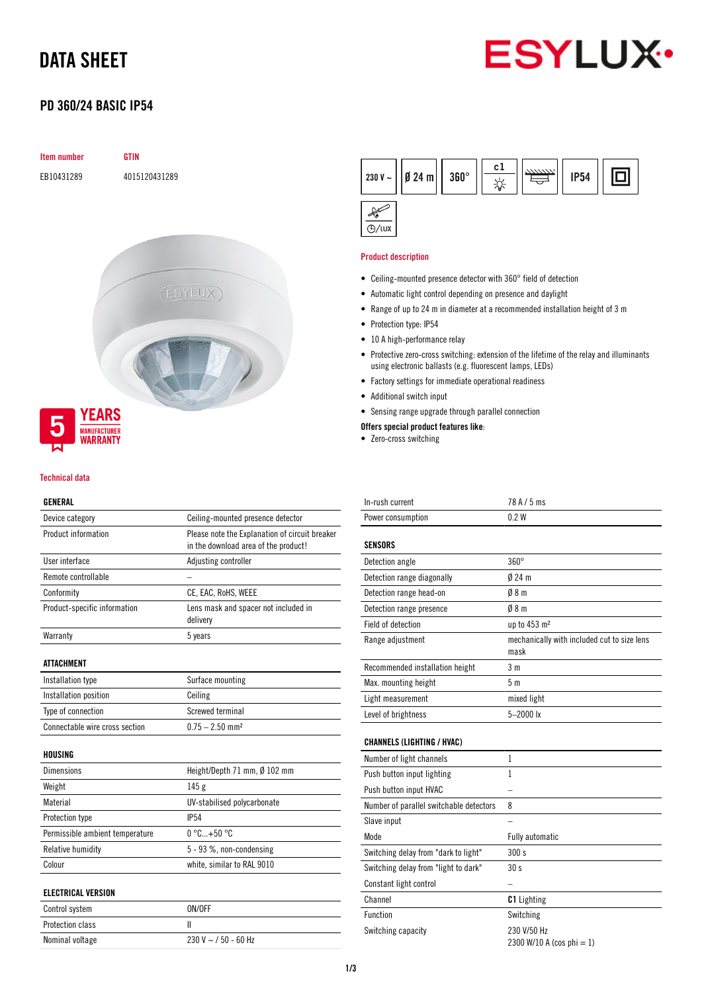# DATA SHEET



## PD 360/24 BASIC IP54

# Item number GTIN EB10431289 4015120431289 (ESYLUX)



#### Technical data

## GENERAL

| Device category                 | Ceiling-mounted presence detector                                                      |  |  |
|---------------------------------|----------------------------------------------------------------------------------------|--|--|
| Product information             | Please note the Explanation of circuit breaker<br>in the download area of the product! |  |  |
| User interface                  | Adjusting controller                                                                   |  |  |
| Remote controllable             |                                                                                        |  |  |
| Conformity                      | CE, EAC, RoHS, WEEE                                                                    |  |  |
| Product-specific information    | Lens mask and spacer not included in<br>delivery                                       |  |  |
| Warranty                        | 5 years                                                                                |  |  |
| <b>ATTACHMENT</b>               |                                                                                        |  |  |
| Installation type               | Surface mounting                                                                       |  |  |
| Installation position           | Ceiling                                                                                |  |  |
| Type of connection              | Screwed terminal                                                                       |  |  |
| Connectable wire cross section  | $0.75 - 2.50$ mm <sup>2</sup>                                                          |  |  |
| <b>HOUSING</b>                  |                                                                                        |  |  |
| <b>Dimensions</b>               | Height/Depth 71 mm, $\emptyset$ 102 mm                                                 |  |  |
| Weight                          | 145 <sub>g</sub>                                                                       |  |  |
| Material                        | UV-stabilised polycarbonate                                                            |  |  |
| <b>Protection type</b>          | <b>IP54</b>                                                                            |  |  |
| Permissible ambient temperature | $0^{\circ}$ C +50 $^{\circ}$ C                                                         |  |  |
| <b>Relative humidity</b>        | 5 - 93 %, non-condensing                                                               |  |  |
| Colour                          | white, similar to RAL 9010                                                             |  |  |
| <b>ELECTRICAL VERSION</b>       |                                                                                        |  |  |
| Control system                  | ON/OFF                                                                                 |  |  |
| Protection class                | Ш                                                                                      |  |  |
| Nominal voltage                 | $230$ V $\sim$ / 50 - 60 Hz                                                            |  |  |



## Product description

- Ceiling-mounted presence detector with 360° field of detection
- Automatic light control depending on presence and daylight
- Range of up to 24 m in diameter at a recommended installation height of 3 m
- Protection type: IP54
- 10 A high-performance relay
- Protective zero-cross switching: extension of the lifetime of the relay and illuminants using electronic ballasts (e.g. fluorescent lamps, LEDs)
- Factory settings for immediate operational readiness
- Additional switch input
- Sensing range upgrade through parallel connection
- Offers special product features like:
- Zero-cross switching

| In-rush current                 | 78 A / 5 ms                                         |
|---------------------------------|-----------------------------------------------------|
| Power consumption               | 0.2W                                                |
|                                 |                                                     |
| <b>SENSORS</b>                  |                                                     |
| Detection angle                 | $360^\circ$                                         |
| Detection range diagonally      | $024 \text{ m}$                                     |
| Detection range head-on         | 08m                                                 |
| Detection range presence        | 08m                                                 |
| Field of detection              | up to $453 \text{ m}^2$                             |
| Range adjustment                | mechanically with included cut to size lens<br>mask |
| Recommended installation height | 3 <sub>m</sub>                                      |
| Max, mounting height            | 5 <sub>m</sub>                                      |
| Light measurement               | mixed light                                         |
| Level of brightness             | $5 - 2000$ lx                                       |
|                                 |                                                     |

## CHANNELS (LIGHTING / HVAC)

| Number of light channels                |                                          |
|-----------------------------------------|------------------------------------------|
| Push button input lighting              |                                          |
| Push button input HVAC                  |                                          |
| Number of parallel switchable detectors | 8                                        |
| Slave input                             |                                          |
| Mode                                    | <b>Fully automatic</b>                   |
| Switching delay from "dark to light"    | 300 s                                    |
| Switching delay from "light to dark"    | 30 <sub>s</sub>                          |
| Constant light control                  |                                          |
| Channel                                 | <b>C1</b> Lighting                       |
| <b>Function</b>                         | Switching                                |
| Switching capacity                      | 230 V/50 Hz<br>2300 W/10 A (cos phi = 1) |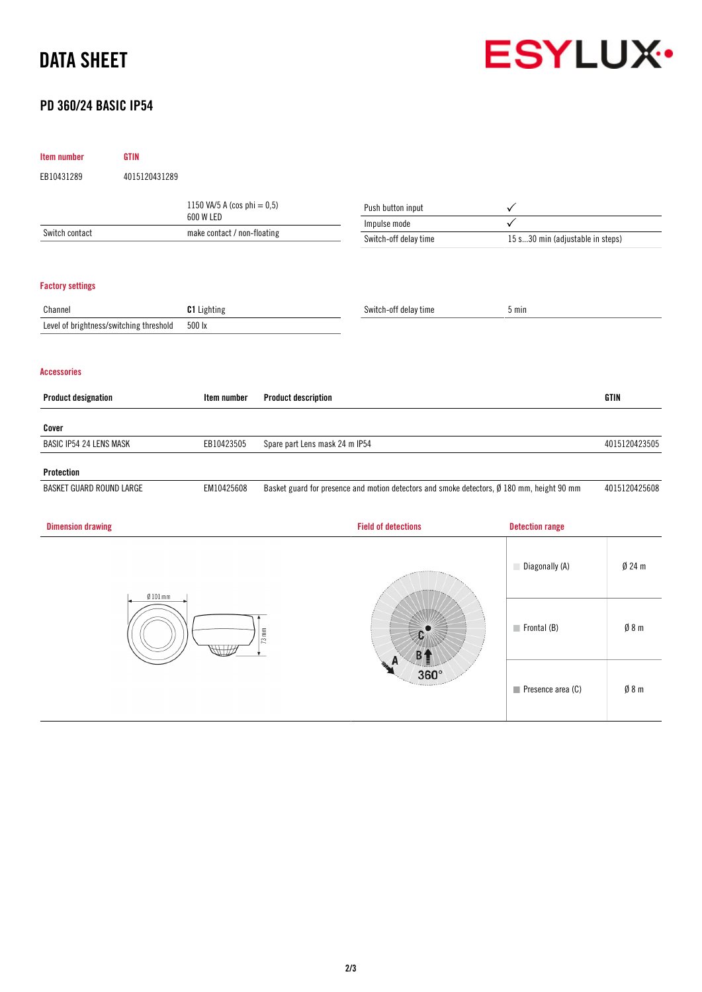# DATA SHEET



## PD 360/24 BASIC IP54

| Item number                | <b>GTIN</b>                             |                                |                                |                                                                                            |                                  |               |
|----------------------------|-----------------------------------------|--------------------------------|--------------------------------|--------------------------------------------------------------------------------------------|----------------------------------|---------------|
| EB10431289                 | 4015120431289                           |                                |                                |                                                                                            |                                  |               |
|                            |                                         | 1150 VA/5 A (cos phi = $0,5$ ) |                                | Push button input                                                                          | $\checkmark$                     |               |
|                            |                                         | 600 W LED                      |                                | Impulse mode                                                                               | ✓                                |               |
| Switch contact             |                                         | make contact / non-floating    |                                | Switch-off delay time                                                                      | 15 s30 min (adjustable in steps) |               |
|                            |                                         |                                |                                |                                                                                            |                                  |               |
| <b>Factory settings</b>    |                                         |                                |                                |                                                                                            |                                  |               |
| Channel                    |                                         | C1 Lighting                    |                                | Switch-off delay time                                                                      | 5 min                            |               |
|                            | Level of brightness/switching threshold | 500 lx                         |                                |                                                                                            |                                  |               |
| <b>Accessories</b>         |                                         |                                |                                |                                                                                            |                                  |               |
| <b>Product designation</b> |                                         | Item number                    | <b>Product description</b>     |                                                                                            |                                  | <b>GTIN</b>   |
| Cover                      |                                         |                                |                                |                                                                                            |                                  |               |
| BASIC IP54 24 LENS MASK    |                                         | EB10423505                     | Spare part Lens mask 24 m IP54 |                                                                                            |                                  | 4015120423505 |
| Protection                 |                                         |                                |                                |                                                                                            |                                  |               |
| BASKET GUARD ROUND LARGE   |                                         | EM10425608                     |                                | Basket guard for presence and motion detectors and smoke detectors, Ø 180 mm, height 90 mm |                                  | 4015120425608 |
| <b>Dimension drawing</b>   |                                         |                                |                                | <b>Field of detections</b>                                                                 | <b>Detection range</b>           |               |
|                            | $Ø$ 101 mm                              |                                |                                |                                                                                            | Diagonally (A)                   | $Ø$ 24 m      |
| $73 \text{ mm}$            |                                         |                                | 360°                           | $\blacksquare$ Frontal (B)                                                                 | Ø 8 m                            |               |
|                            |                                         |                                |                                | $\blacksquare$ Presence area (C)                                                           | Ø8m                              |               |